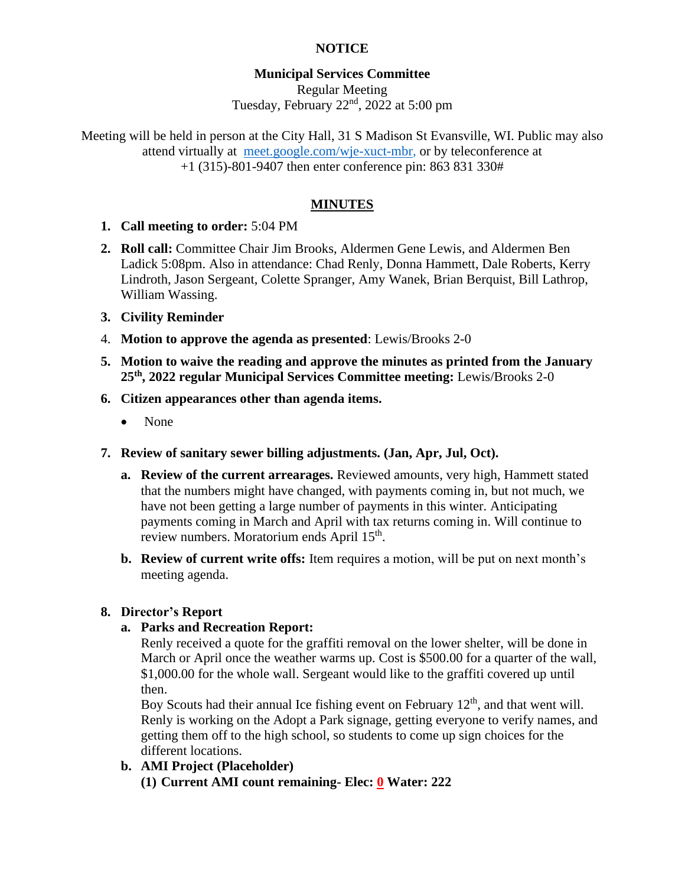# **NOTICE**

# **Municipal Services Committee**

Regular Meeting Tuesday, February 22nd, 2022 at 5:00 pm

Meeting will be held in person at the City Hall, 31 S Madison St Evansville, WI. Public may also attend virtually at [meet.google.com/wje-xuct-mbr,](file:///G:/My%20Drive/Meetings/MSC/2022/01-22/meet.google.com/wje-xuct-mbr) or by teleconference at +1 (315)-801-9407 then enter conference pin: 863 831 330#

# **MINUTES**

- **1. Call meeting to order:** 5:04 PM
- **2. Roll call:** Committee Chair Jim Brooks, Aldermen Gene Lewis, and Aldermen Ben Ladick 5:08pm. Also in attendance: Chad Renly, Donna Hammett, Dale Roberts, Kerry Lindroth, Jason Sergeant, Colette Spranger, Amy Wanek, Brian Berquist, Bill Lathrop, William Wassing.
- **3. Civility Reminder**
- 4. **Motion to approve the agenda as presented**: Lewis/Brooks 2-0
- **5. Motion to waive the reading and approve the minutes as printed from the January 25th, 2022 regular Municipal Services Committee meeting:** Lewis/Brooks 2-0
- **6. Citizen appearances other than agenda items.**
	- None
- **7. Review of sanitary sewer billing adjustments. (Jan, Apr, Jul, Oct).**
	- **a. Review of the current arrearages.** Reviewed amounts, very high, Hammett stated that the numbers might have changed, with payments coming in, but not much, we have not been getting a large number of payments in this winter. Anticipating payments coming in March and April with tax returns coming in. Will continue to review numbers. Moratorium ends April 15<sup>th</sup>.
	- **b. Review of current write offs:** Item requires a motion, will be put on next month's meeting agenda.

### **8. Director's Report**

### **a. Parks and Recreation Report:**

Renly received a quote for the graffiti removal on the lower shelter, will be done in March or April once the weather warms up. Cost is \$500.00 for a quarter of the wall, \$1,000.00 for the whole wall. Sergeant would like to the graffiti covered up until then.

Boy Scouts had their annual Ice fishing event on February  $12<sup>th</sup>$ , and that went will. Renly is working on the Adopt a Park signage, getting everyone to verify names, and getting them off to the high school, so students to come up sign choices for the different locations.

**b. AMI Project (Placeholder) (1) Current AMI count remaining- Elec: 0 Water: 222**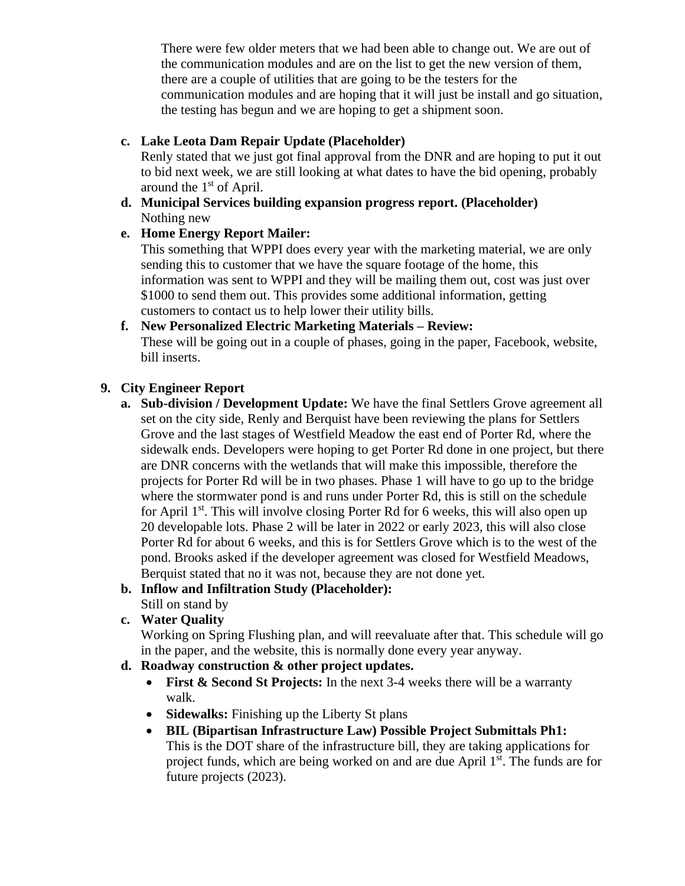There were few older meters that we had been able to change out. We are out of the communication modules and are on the list to get the new version of them, there are a couple of utilities that are going to be the testers for the communication modules and are hoping that it will just be install and go situation, the testing has begun and we are hoping to get a shipment soon.

# **c. Lake Leota Dam Repair Update (Placeholder)**

Renly stated that we just got final approval from the DNR and are hoping to put it out to bid next week, we are still looking at what dates to have the bid opening, probably around the  $1<sup>st</sup>$  of April.

**d. Municipal Services building expansion progress report. (Placeholder)** Nothing new

# **e. Home Energy Report Mailer:**

This something that WPPI does every year with the marketing material, we are only sending this to customer that we have the square footage of the home, this information was sent to WPPI and they will be mailing them out, cost was just over \$1000 to send them out. This provides some additional information, getting customers to contact us to help lower their utility bills.

### **f. New Personalized Electric Marketing Materials – Review:** These will be going out in a couple of phases, going in the paper, Facebook, website,

bill inserts.

## **9. City Engineer Report**

**a. Sub-division / Development Update:** We have the final Settlers Grove agreement all set on the city side, Renly and Berquist have been reviewing the plans for Settlers Grove and the last stages of Westfield Meadow the east end of Porter Rd, where the sidewalk ends. Developers were hoping to get Porter Rd done in one project, but there are DNR concerns with the wetlands that will make this impossible, therefore the projects for Porter Rd will be in two phases. Phase 1 will have to go up to the bridge where the stormwater pond is and runs under Porter Rd, this is still on the schedule for April 1<sup>st</sup>. This will involve closing Porter Rd for 6 weeks, this will also open up 20 developable lots. Phase 2 will be later in 2022 or early 2023, this will also close Porter Rd for about 6 weeks, and this is for Settlers Grove which is to the west of the pond. Brooks asked if the developer agreement was closed for Westfield Meadows, Berquist stated that no it was not, because they are not done yet.

#### **b. Inflow and Infiltration Study (Placeholder):** Still on stand by

# **c. Water Quality**

Working on Spring Flushing plan, and will reevaluate after that. This schedule will go in the paper, and the website, this is normally done every year anyway.

# **d. Roadway construction & other project updates.**

- **First & Second St Projects:** In the next 3-4 weeks there will be a warranty walk.
- **Sidewalks:** Finishing up the Liberty St plans
- **BIL (Bipartisan Infrastructure Law) Possible Project Submittals Ph1:** This is the DOT share of the infrastructure bill, they are taking applications for project funds, which are being worked on and are due April 1<sup>st</sup>. The funds are for future projects (2023).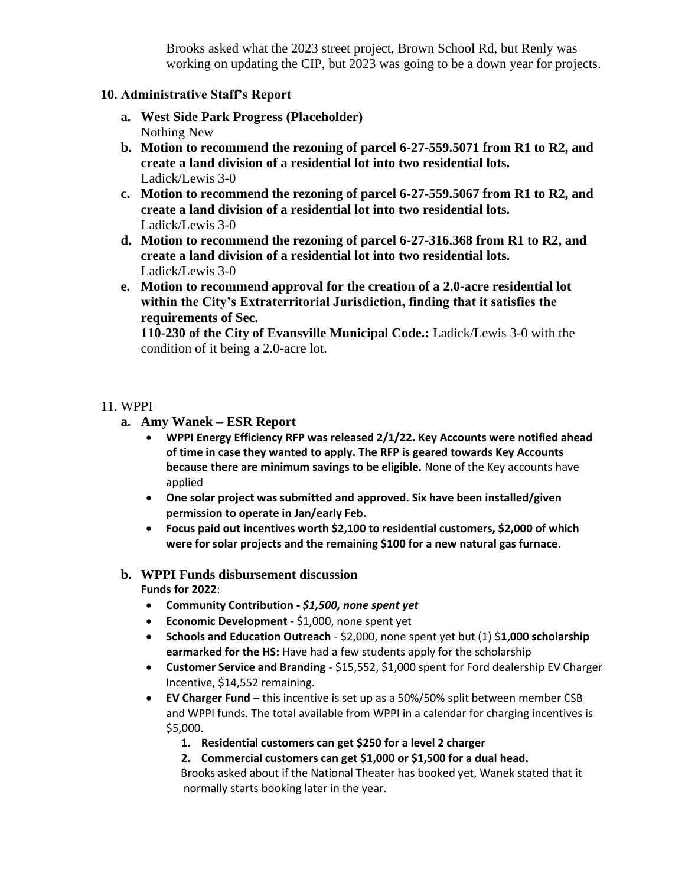Brooks asked what the 2023 street project, Brown School Rd, but Renly was working on updating the CIP, but 2023 was going to be a down year for projects.

### **10. Administrative Staff's Report**

- **a. West Side Park Progress (Placeholder)** Nothing New
- **b. Motion to recommend the rezoning of parcel 6-27-559.5071 from R1 to R2, and create a land division of a residential lot into two residential lots.** Ladick/Lewis 3-0
- **c. Motion to recommend the rezoning of parcel 6-27-559.5067 from R1 to R2, and create a land division of a residential lot into two residential lots.** Ladick/Lewis 3-0
- **d. Motion to recommend the rezoning of parcel 6-27-316.368 from R1 to R2, and create a land division of a residential lot into two residential lots.** Ladick/Lewis 3-0
- **e. Motion to recommend approval for the creation of a 2.0-acre residential lot within the City's Extraterritorial Jurisdiction, finding that it satisfies the requirements of Sec.**

**110-230 of the City of Evansville Municipal Code.:** Ladick/Lewis 3-0 with the condition of it being a 2.0-acre lot.

### 11. WPPI

- **a. Amy Wanek – ESR Report**
	- **WPPI Energy Efficiency RFP was released 2/1/22. Key Accounts were notified ahead of time in case they wanted to apply. The RFP is geared towards Key Accounts because there are minimum savings to be eligible.** None of the Key accounts have applied
	- **One solar project was submitted and approved. Six have been installed/given permission to operate in Jan/early Feb.**
	- **Focus paid out incentives worth \$2,100 to residential customers, \$2,000 of which were for solar projects and the remaining \$100 for a new natural gas furnace**.
- **b. WPPI Funds disbursement discussion Funds for 2022**:
	- **Community Contribution -** *\$1,500, none spent yet*
	- **Economic Development**  \$1,000, none spent yet
	- **Schools and Education Outreach** \$2,000, none spent yet but (1) \$**1,000 scholarship earmarked for the HS:** Have had a few students apply for the scholarship
	- **Customer Service and Branding**  \$15,552, \$1,000 spent for Ford dealership EV Charger Incentive, \$14,552 remaining.
	- **EV Charger Fund** this incentive is set up as a 50%/50% split between member CSB and WPPI funds. The total available from WPPI in a calendar for charging incentives is \$5,000.
		- **1. Residential customers can get \$250 for a level 2 charger**
		- **2. Commercial customers can get \$1,000 or \$1,500 for a dual head.**
		- Brooks asked about if the National Theater has booked yet, Wanek stated that it normally starts booking later in the year.